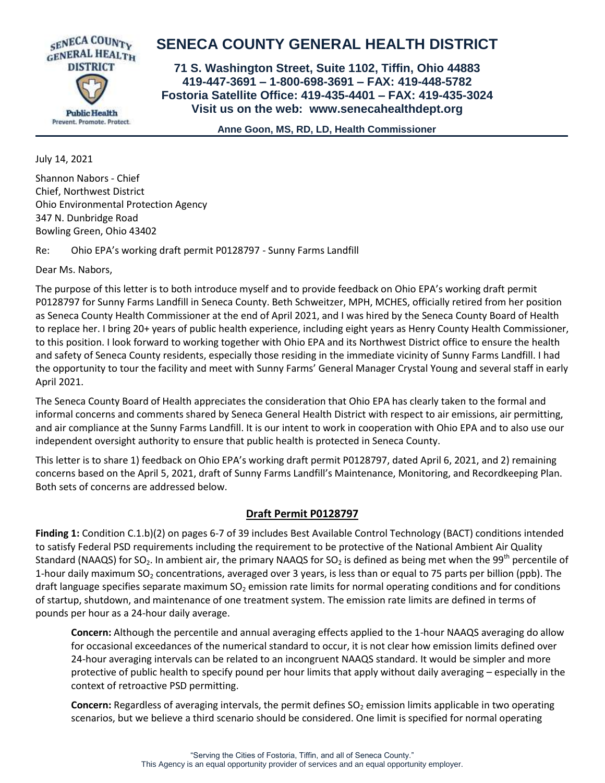

## **SENECA COUNTY GENERAL HEALTH DISTRICT**

**71 S. Washington Street, Suite 1102, Tiffin, Ohio 44883 419-447-3691 – 1-800-698-3691 – FAX: 419-448-5782 Fostoria Satellite Office: 419-435-4401 – FAX: 419-435-3024 Visit us on the web: [www.senecahealthdept.org](http://www.senecahealthdept.org/)**

 **Anne Goon, MS, RD, LD, Health Commissioner**

July 14, 2021

Shannon Nabors - Chief Chief, Northwest District Ohio Environmental Protection Agency 347 N. Dunbridge Road Bowling Green, Ohio 43402

Re: Ohio EPA's working draft permit P0128797 - Sunny Farms Landfill

Dear Ms. Nabors,

The purpose of this letter is to both introduce myself and to provide feedback on Ohio EPA's working draft permit P0128797 for Sunny Farms Landfill in Seneca County. Beth Schweitzer, MPH, MCHES, officially retired from her position as Seneca County Health Commissioner at the end of April 2021, and I was hired by the Seneca County Board of Health to replace her. I bring 20+ years of public health experience, including eight years as Henry County Health Commissioner, to this position. I look forward to working together with Ohio EPA and its Northwest District office to ensure the health and safety of Seneca County residents, especially those residing in the immediate vicinity of Sunny Farms Landfill. I had the opportunity to tour the facility and meet with Sunny Farms' General Manager Crystal Young and several staff in early April 2021.

The Seneca County Board of Health appreciates the consideration that Ohio EPA has clearly taken to the formal and informal concerns and comments shared by Seneca General Health District with respect to air emissions, air permitting, and air compliance at the Sunny Farms Landfill. It is our intent to work in cooperation with Ohio EPA and to also use our independent oversight authority to ensure that public health is protected in Seneca County.

This letter is to share 1) feedback on Ohio EPA's working draft permit P0128797, dated April 6, 2021, and 2) remaining concerns based on the April 5, 2021, draft of Sunny Farms Landfill's Maintenance, Monitoring, and Recordkeeping Plan. Both sets of concerns are addressed below.

## **Draft Permit P0128797**

**Finding 1:** Condition C.1.b)(2) on pages 6-7 of 39 includes Best Available Control Technology (BACT) conditions intended to satisfy Federal PSD requirements including the requirement to be protective of the National Ambient Air Quality Standard (NAAQS) for SO<sub>2</sub>. In ambient air, the primary NAAQS for SO<sub>2</sub> is defined as being met when the 99<sup>th</sup> percentile of 1-hour daily maximum SO<sub>2</sub> concentrations, averaged over 3 years, is less than or equal to 75 parts per billion (ppb). The draft language specifies separate maximum  $SO<sub>2</sub>$  emission rate limits for normal operating conditions and for conditions of startup, shutdown, and maintenance of one treatment system. The emission rate limits are defined in terms of pounds per hour as a 24-hour daily average.

**Concern:** Although the percentile and annual averaging effects applied to the 1-hour NAAQS averaging do allow for occasional exceedances of the numerical standard to occur, it is not clear how emission limits defined over 24-hour averaging intervals can be related to an incongruent NAAQS standard. It would be simpler and more protective of public health to specify pound per hour limits that apply without daily averaging – especially in the context of retroactive PSD permitting.

**Concern:** Regardless of averaging intervals, the permit defines SO<sub>2</sub> emission limits applicable in two operating scenarios, but we believe a third scenario should be considered. One limit is specified for normal operating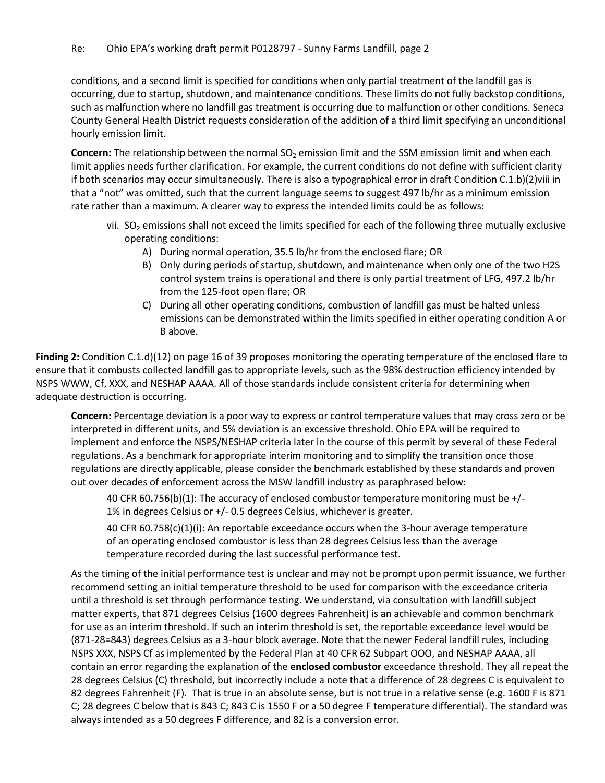conditions, and a second limit is specified for conditions when only partial treatment of the landfill gas is occurring, due to startup, shutdown, and maintenance conditions. These limits do not fully backstop conditions, such as malfunction where no landfill gas treatment is occurring due to malfunction or other conditions. Seneca County General Health District requests consideration of the addition of a third limit specifying an unconditional hourly emission limit.

**Concern:** The relationship between the normal SO<sub>2</sub> emission limit and the SSM emission limit and when each limit applies needs further clarification. For example, the current conditions do not define with sufficient clarity if both scenarios may occur simultaneously. There is also a typographical error in draft Condition C.1.b)(2)viii in that a "not" was omitted, such that the current language seems to suggest 497 lb/hr as a minimum emission rate rather than a maximum. A clearer way to express the intended limits could be as follows:

- vii.  $SO<sub>2</sub>$  emissions shall not exceed the limits specified for each of the following three mutually exclusive operating conditions:
	- A) During normal operation, 35.5 lb/hr from the enclosed flare; OR
	- B) Only during periods of startup, shutdown, and maintenance when only one of the two H2S control system trains is operational and there is only partial treatment of LFG, 497.2 lb/hr from the 125-foot open flare; OR
	- C) During all other operating conditions, combustion of landfill gas must be halted unless emissions can be demonstrated within the limits specified in either operating condition A or B above.

**Finding 2:** Condition C.1.d)(12) on page 16 of 39 proposes monitoring the operating temperature of the enclosed flare to ensure that it combusts collected landfill gas to appropriate levels, such as the 98% destruction efficiency intended by NSPS WWW, Cf, XXX, and NESHAP AAAA. All of those standards include consistent criteria for determining when adequate destruction is occurring.

**Concern:** Percentage deviation is a poor way to express or control temperature values that may cross zero or be interpreted in different units, and 5% deviation is an excessive threshold. Ohio EPA will be required to implement and enforce the NSPS/NESHAP criteria later in the course of this permit by several of these Federal regulations. As a benchmark for appropriate interim monitoring and to simplify the transition once those regulations are directly applicable, please consider the benchmark established by these standards and proven out over decades of enforcement across the MSW landfill industry as paraphrased below:

40 CFR 60**.**756(b)(1): The accuracy of enclosed combustor temperature monitoring must be +/- 1% in degrees Celsius or +/- 0.5 degrees Celsius, whichever is greater.

40 CFR 60.758(c)(1)(i): An reportable exceedance occurs when the 3-hour average temperature of an operating enclosed combustor is less than 28 degrees Celsius less than the average temperature recorded during the last successful performance test.

As the timing of the initial performance test is unclear and may not be prompt upon permit issuance, we further recommend setting an initial temperature threshold to be used for comparison with the exceedance criteria until a threshold is set through performance testing. We understand, via consultation with landfill subject matter experts, that 871 degrees Celsius (1600 degrees Fahrenheit) is an achievable and common benchmark for use as an interim threshold. If such an interim threshold is set, the reportable exceedance level would be (871-28=843) degrees Celsius as a 3-hour block average. Note that the newer Federal landfill rules, including NSPS XXX, NSPS Cf as implemented by the Federal Plan at 40 CFR 62 Subpart OOO, and NESHAP AAAA, all contain an error regarding the explanation of the **enclosed combustor** exceedance threshold. They all repeat the 28 degrees Celsius (C) threshold, but incorrectly include a note that a difference of 28 degrees C is equivalent to 82 degrees Fahrenheit (F). That is true in an absolute sense, but is not true in a relative sense (e.g. 1600 F is 871 C; 28 degrees C below that is 843 C; 843 C is 1550 F or a 50 degree F temperature differential). The standard was always intended as a 50 degrees F difference, and 82 is a conversion error.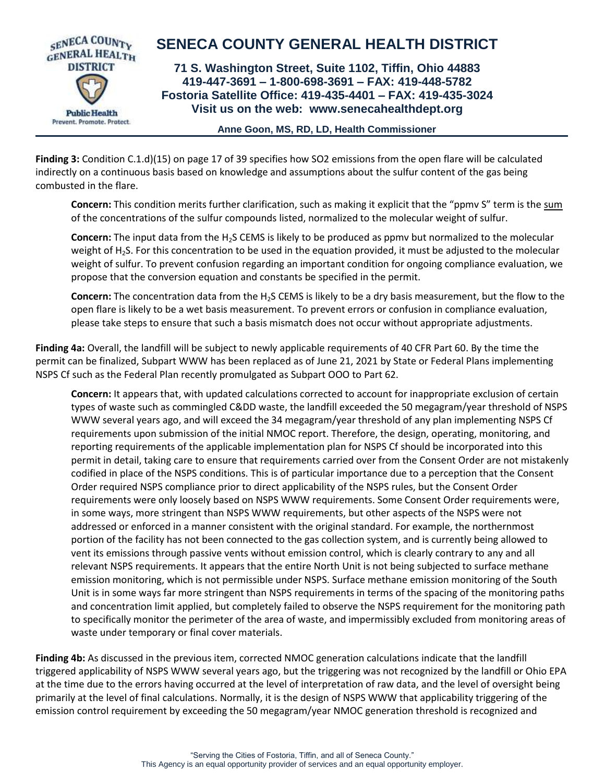

**Finding 3:** Condition C.1.d)(15) on page 17 of 39 specifies how SO2 emissions from the open flare will be calculated indirectly on a continuous basis based on knowledge and assumptions about the sulfur content of the gas being combusted in the flare.

**Concern:** This condition merits further clarification, such as making it explicit that the "ppmv S" term is the sum of the concentrations of the sulfur compounds listed, normalized to the molecular weight of sulfur.

**Concern:** The input data from the H2S CEMS is likely to be produced as ppmv but normalized to the molecular weight of H<sub>2</sub>S. For this concentration to be used in the equation provided, it must be adjusted to the molecular weight of sulfur. To prevent confusion regarding an important condition for ongoing compliance evaluation, we propose that the conversion equation and constants be specified in the permit.

**Concern:** The concentration data from the H<sub>2</sub>S CEMS is likely to be a dry basis measurement, but the flow to the open flare is likely to be a wet basis measurement. To prevent errors or confusion in compliance evaluation, please take steps to ensure that such a basis mismatch does not occur without appropriate adjustments.

**Finding 4a:** Overall, the landfill will be subject to newly applicable requirements of 40 CFR Part 60. By the time the permit can be finalized, Subpart WWW has been replaced as of June 21, 2021 by State or Federal Plans implementing NSPS Cf such as the Federal Plan recently promulgated as Subpart OOO to Part 62.

**Concern:** It appears that, with updated calculations corrected to account for inappropriate exclusion of certain types of waste such as commingled C&DD waste, the landfill exceeded the 50 megagram/year threshold of NSPS WWW several years ago, and will exceed the 34 megagram/year threshold of any plan implementing NSPS Cf requirements upon submission of the initial NMOC report. Therefore, the design, operating, monitoring, and reporting requirements of the applicable implementation plan for NSPS Cf should be incorporated into this permit in detail, taking care to ensure that requirements carried over from the Consent Order are not mistakenly codified in place of the NSPS conditions. This is of particular importance due to a perception that the Consent Order required NSPS compliance prior to direct applicability of the NSPS rules, but the Consent Order requirements were only loosely based on NSPS WWW requirements. Some Consent Order requirements were, in some ways, more stringent than NSPS WWW requirements, but other aspects of the NSPS were not addressed or enforced in a manner consistent with the original standard. For example, the northernmost portion of the facility has not been connected to the gas collection system, and is currently being allowed to vent its emissions through passive vents without emission control, which is clearly contrary to any and all relevant NSPS requirements. It appears that the entire North Unit is not being subjected to surface methane emission monitoring, which is not permissible under NSPS. Surface methane emission monitoring of the South Unit is in some ways far more stringent than NSPS requirements in terms of the spacing of the monitoring paths and concentration limit applied, but completely failed to observe the NSPS requirement for the monitoring path to specifically monitor the perimeter of the area of waste, and impermissibly excluded from monitoring areas of waste under temporary or final cover materials.

**Finding 4b:** As discussed in the previous item, corrected NMOC generation calculations indicate that the landfill triggered applicability of NSPS WWW several years ago, but the triggering was not recognized by the landfill or Ohio EPA at the time due to the errors having occurred at the level of interpretation of raw data, and the level of oversight being primarily at the level of final calculations. Normally, it is the design of NSPS WWW that applicability triggering of the emission control requirement by exceeding the 50 megagram/year NMOC generation threshold is recognized and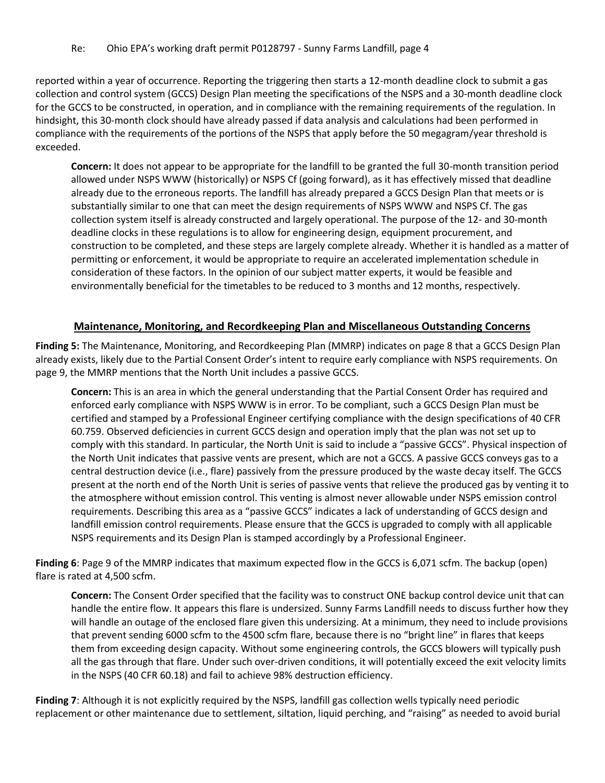reported within a year of occurrence. Reporting the triggering then starts a 12-month deadline clock to submit a gas collection and control system (GCCS) Design Plan meeting the specifications of the NSPS and a 30-month deadline clock for the GCCS to be constructed, in operation, and in compliance with the remaining requirements of the regulation. In hindsight, this 30-month clock should have already passed if data analysis and calculations had been performed in compliance with the requirements of the portions of the NSPS that apply before the 50 megagram/year threshold is exceeded.

**Concern:** It does not appear to be appropriate for the landfill to be granted the full 30-month transition period allowed under NSPS WWW (historically) or NSPS Cf (going forward), as it has effectively missed that deadline already due to the erroneous reports. The landfill has already prepared a GCCS Design Plan that meets or is substantially similar to one that can meet the design requirements of NSPS WWW and NSPS Cf. The gas collection system itself is already constructed and largely operational. The purpose of the 12- and 30-month deadline clocks in these regulations is to allow for engineering design, equipment procurement, and construction to be completed, and these steps are largely complete already. Whether it is handled as a matter of permitting or enforcement, it would be appropriate to require an accelerated implementation schedule in consideration of these factors. In the opinion of our subject matter experts, it would be feasible and environmentally beneficial for the timetables to be reduced to 3 months and 12 months, respectively.

## **Maintenance, Monitoring, and Recordkeeping Plan and Miscellaneous Outstanding Concerns**

**Finding 5:** The Maintenance, Monitoring, and Recordkeeping Plan (MMRP) indicates on page 8 that a GCCS Design Plan already exists, likely due to the Partial Consent Order's intent to require early compliance with NSPS requirements. On page 9, the MMRP mentions that the North Unit includes a passive GCCS.

**Concern:** This is an area in which the general understanding that the Partial Consent Order has required and enforced early compliance with NSPS WWW is in error. To be compliant, such a GCCS Design Plan must be certified and stamped by a Professional Engineer certifying compliance with the design specifications of 40 CFR 60.759. Observed deficiencies in current GCCS design and operation imply that the plan was not set up to comply with this standard. In particular, the North Unit is said to include a "passive GCCS". Physical inspection of the North Unit indicates that passive vents are present, which are not a GCCS. A passive GCCS conveys gas to a central destruction device (i.e., flare) passively from the pressure produced by the waste decay itself. The GCCS present at the north end of the North Unit is series of passive vents that relieve the produced gas by venting it to the atmosphere without emission control. This venting is almost never allowable under NSPS emission control requirements. Describing this area as a "passive GCCS" indicates a lack of understanding of GCCS design and landfill emission control requirements. Please ensure that the GCCS is upgraded to comply with all applicable NSPS requirements and its Design Plan is stamped accordingly by a Professional Engineer.

**Finding 6**: Page 9 of the MMRP indicates that maximum expected flow in the GCCS is 6,071 scfm. The backup (open) flare is rated at 4,500 scfm.

**Concern:** The Consent Order specified that the facility was to construct ONE backup control device unit that can handle the entire flow. It appears this flare is undersized. Sunny Farms Landfill needs to discuss further how they will handle an outage of the enclosed flare given this undersizing. At a minimum, they need to include provisions that prevent sending 6000 scfm to the 4500 scfm flare, because there is no "bright line" in flares that keeps them from exceeding design capacity. Without some engineering controls, the GCCS blowers will typically push all the gas through that flare. Under such over-driven conditions, it will potentially exceed the exit velocity limits in the NSPS (40 CFR 60.18) and fail to achieve 98% destruction efficiency.

**Finding 7**: Although it is not explicitly required by the NSPS, landfill gas collection wells typically need periodic replacement or other maintenance due to settlement, siltation, liquid perching, and "raising" as needed to avoid burial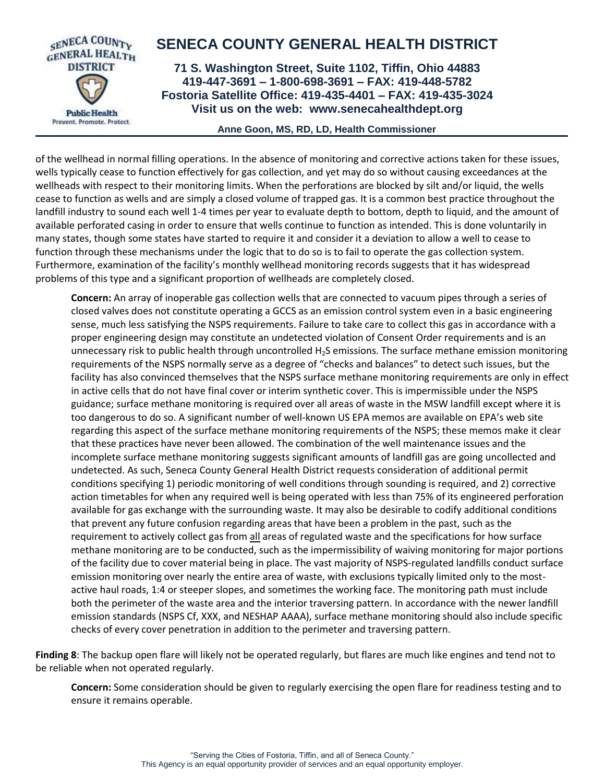

 **Anne Goon, MS, RD, LD, Health Commissioner**

of the wellhead in normal filling operations. In the absence of monitoring and corrective actions taken for these issues, wells typically cease to function effectively for gas collection, and yet may do so without causing exceedances at the wellheads with respect to their monitoring limits. When the perforations are blocked by silt and/or liquid, the wells cease to function as wells and are simply a closed volume of trapped gas. It is a common best practice throughout the landfill industry to sound each well 1-4 times per year to evaluate depth to bottom, depth to liquid, and the amount of available perforated casing in order to ensure that wells continue to function as intended. This is done voluntarily in many states, though some states have started to require it and consider it a deviation to allow a well to cease to function through these mechanisms under the logic that to do so is to fail to operate the gas collection system. Furthermore, examination of the facility's monthly wellhead monitoring records suggests that it has widespread problems of this type and a significant proportion of wellheads are completely closed.

**Concern:** An array of inoperable gas collection wells that are connected to vacuum pipes through a series of closed valves does not constitute operating a GCCS as an emission control system even in a basic engineering sense, much less satisfying the NSPS requirements. Failure to take care to collect this gas in accordance with a proper engineering design may constitute an undetected violation of Consent Order requirements and is an unnecessary risk to public health through uncontrolled  $H_2S$  emissions. The surface methane emission monitoring requirements of the NSPS normally serve as a degree of "checks and balances" to detect such issues, but the facility has also convinced themselves that the NSPS surface methane monitoring requirements are only in effect in active cells that do not have final cover or interim synthetic cover. This is impermissible under the NSPS guidance; surface methane monitoring is required over all areas of waste in the MSW landfill except where it is too dangerous to do so. A significant number of well-known US EPA memos are available on EPA's web site regarding this aspect of the surface methane monitoring requirements of the NSPS; these memos make it clear that these practices have never been allowed. The combination of the well maintenance issues and the incomplete surface methane monitoring suggests significant amounts of landfill gas are going uncollected and undetected. As such, Seneca County General Health District requests consideration of additional permit conditions specifying 1) periodic monitoring of well conditions through sounding is required, and 2) corrective action timetables for when any required well is being operated with less than 75% of its engineered perforation available for gas exchange with the surrounding waste. It may also be desirable to codify additional conditions that prevent any future confusion regarding areas that have been a problem in the past, such as the requirement to actively collect gas from all areas of regulated waste and the specifications for how surface methane monitoring are to be conducted, such as the impermissibility of waiving monitoring for major portions of the facility due to cover material being in place. The vast majority of NSPS-regulated landfills conduct surface emission monitoring over nearly the entire area of waste, with exclusions typically limited only to the mostactive haul roads, 1:4 or steeper slopes, and sometimes the working face. The monitoring path must include both the perimeter of the waste area and the interior traversing pattern. In accordance with the newer landfill emission standards (NSPS Cf, XXX, and NESHAP AAAA), surface methane monitoring should also include specific checks of every cover penetration in addition to the perimeter and traversing pattern.

**Finding 8**: The backup open flare will likely not be operated regularly, but flares are much like engines and tend not to be reliable when not operated regularly.

**Concern:** Some consideration should be given to regularly exercising the open flare for readiness testing and to ensure it remains operable.